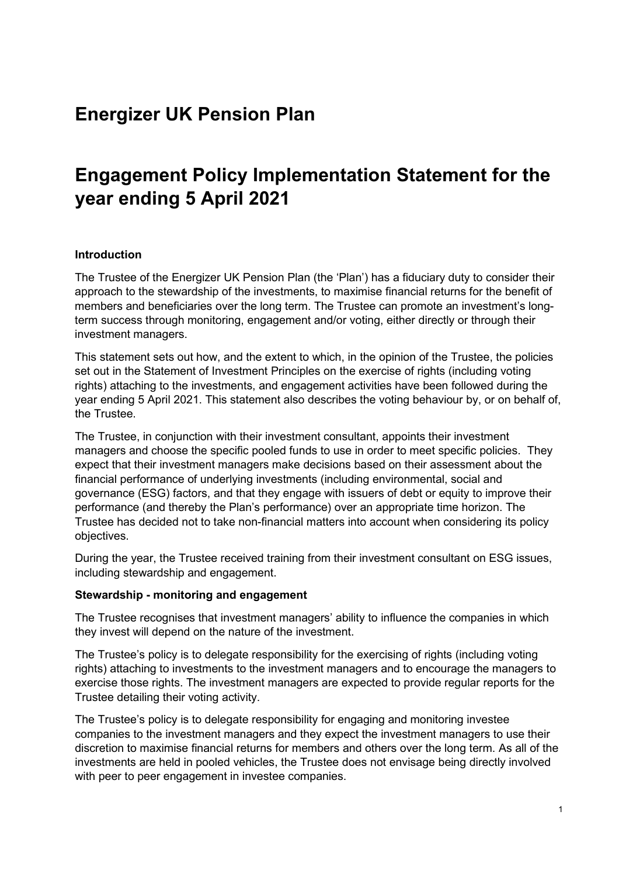## **Energizer UK Pension Plan**

# **Engagement Policy Implementation Statement for the year ending 5 April 2021**

### **Introduction**

The Trustee of the Energizer UK Pension Plan (the 'Plan') has a fiduciary duty to consider their approach to the stewardship of the investments, to maximise financial returns for the benefit of members and beneficiaries over the long term. The Trustee can promote an investment's longterm success through monitoring, engagement and/or voting, either directly or through their investment managers.

This statement sets out how, and the extent to which, in the opinion of the Trustee, the policies set out in the Statement of Investment Principles on the exercise of rights (including voting rights) attaching to the investments, and engagement activities have been followed during the year ending 5 April 2021. This statement also describes the voting behaviour by, or on behalf of, the Trustee.

The Trustee, in conjunction with their investment consultant, appoints their investment managers and choose the specific pooled funds to use in order to meet specific policies. They expect that their investment managers make decisions based on their assessment about the financial performance of underlying investments (including environmental, social and governance (ESG) factors, and that they engage with issuers of debt or equity to improve their performance (and thereby the Plan's performance) over an appropriate time horizon. The Trustee has decided not to take non-financial matters into account when considering its policy objectives.

During the year, the Trustee received training from their investment consultant on ESG issues, including stewardship and engagement.

#### **Stewardship - monitoring and engagement**

The Trustee recognises that investment managers' ability to influence the companies in which they invest will depend on the nature of the investment.

The Trustee's policy is to delegate responsibility for the exercising of rights (including voting rights) attaching to investments to the investment managers and to encourage the managers to exercise those rights. The investment managers are expected to provide regular reports for the Trustee detailing their voting activity.

The Trustee's policy is to delegate responsibility for engaging and monitoring investee companies to the investment managers and they expect the investment managers to use their discretion to maximise financial returns for members and others over the long term. As all of the investments are held in pooled vehicles, the Trustee does not envisage being directly involved with peer to peer engagement in investee companies.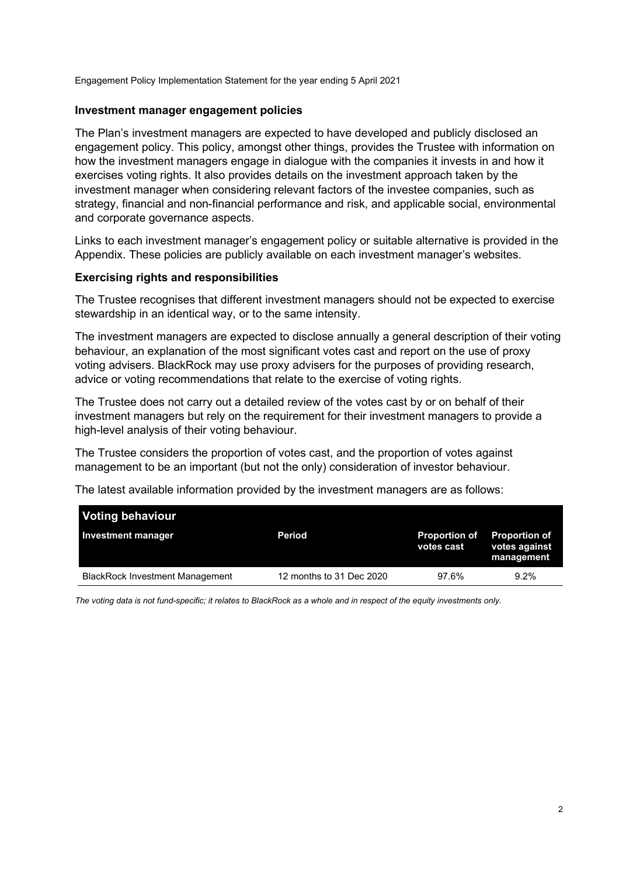Engagement Policy Implementation Statement for the year ending 5 April 2021

#### **Investment manager engagement policies**

The Plan's investment managers are expected to have developed and publicly disclosed an engagement policy. This policy, amongst other things, provides the Trustee with information on how the investment managers engage in dialogue with the companies it invests in and how it exercises voting rights. It also provides details on the investment approach taken by the investment manager when considering relevant factors of the investee companies, such as strategy, financial and non-financial performance and risk, and applicable social, environmental and corporate governance aspects.

Links to each investment manager's engagement policy or suitable alternative is provided in the Appendix. These policies are publicly available on each investment manager's websites.

#### **Exercising rights and responsibilities**

The Trustee recognises that different investment managers should not be expected to exercise stewardship in an identical way, or to the same intensity.

The investment managers are expected to disclose annually a general description of their voting behaviour, an explanation of the most significant votes cast and report on the use of proxy voting advisers. BlackRock may use proxy advisers for the purposes of providing research, advice or voting recommendations that relate to the exercise of voting rights.

The Trustee does not carry out a detailed review of the votes cast by or on behalf of their investment managers but rely on the requirement for their investment managers to provide a high-level analysis of their voting behaviour.

The Trustee considers the proportion of votes cast, and the proportion of votes against management to be an important (but not the only) consideration of investor behaviour.

The latest available information provided by the investment managers are as follows:

| <b>Voting behaviour</b>                |                          |                                    |                                                     |
|----------------------------------------|--------------------------|------------------------------------|-----------------------------------------------------|
| Investment manager                     | Period                   | <b>Proportion of</b><br>votes cast | <b>Proportion of</b><br>votes against<br>management |
| <b>BlackRock Investment Management</b> | 12 months to 31 Dec 2020 | 97.6%                              | $9.2\%$                                             |

*The voting data is not fund-specific; it relates to BlackRock as a whole and in respect of the equity investments only.*